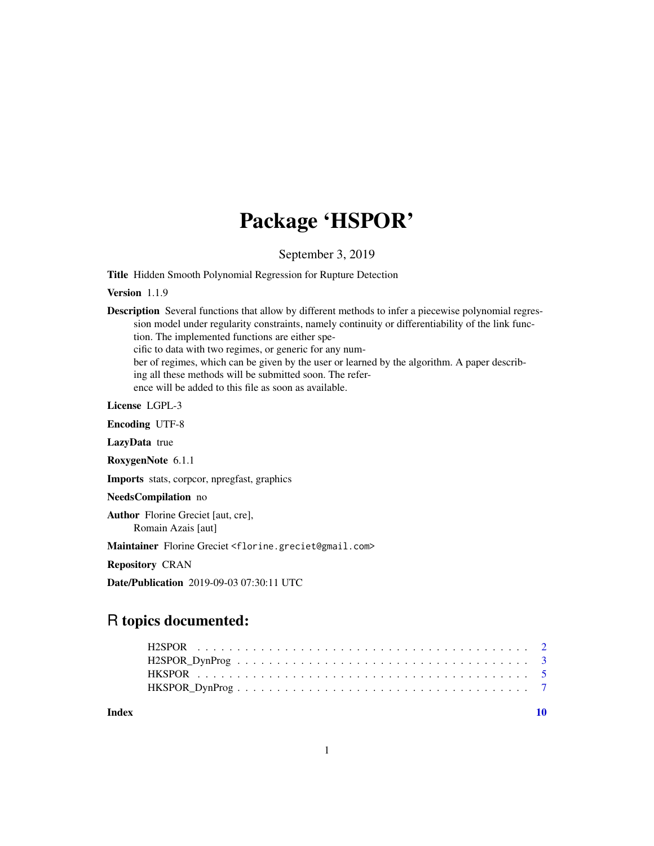# Package 'HSPOR'

September 3, 2019

Title Hidden Smooth Polynomial Regression for Rupture Detection

Version 1.1.9

Description Several functions that allow by different methods to infer a piecewise polynomial regression model under regularity constraints, namely continuity or differentiability of the link function. The implemented functions are either specific to data with two regimes, or generic for any number of regimes, which can be given by the user or learned by the algorithm. A paper describing all these methods will be submitted soon. The reference will be added to this file as soon as available. License LGPL-3

Encoding UTF-8

LazyData true

RoxygenNote 6.1.1

Imports stats, corpcor, npregfast, graphics

NeedsCompilation no

Author Florine Greciet [aut, cre], Romain Azais [aut]

Maintainer Florine Greciet <florine.greciet@gmail.com>

Repository CRAN

Date/Publication 2019-09-03 07:30:11 UTC

## R topics documented:

 $\blacksquare$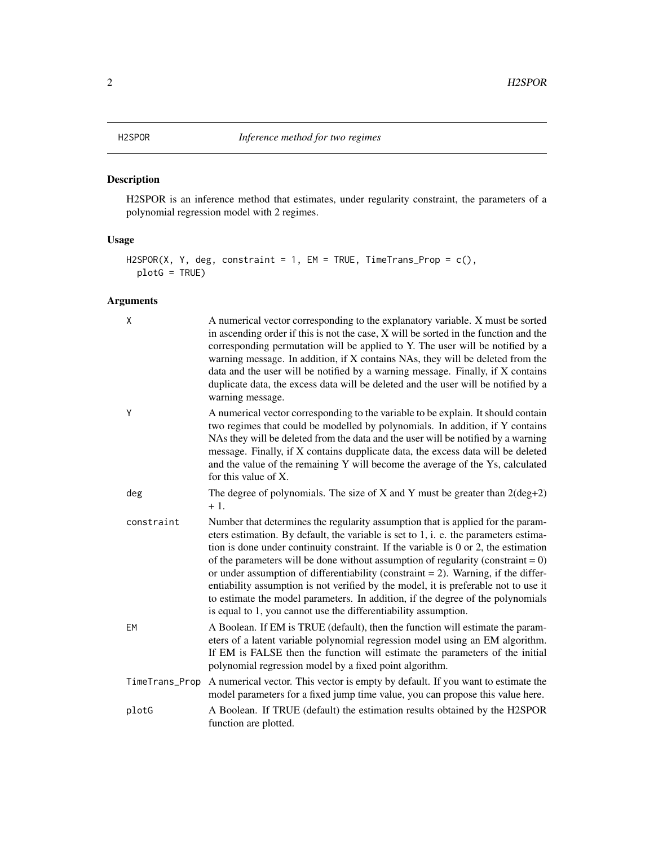### <span id="page-1-0"></span>Description

H2SPOR is an inference method that estimates, under regularity constraint, the parameters of a polynomial regression model with 2 regimes.

#### Usage

```
H2SPOR(X, Y, deg, constraint = 1, EM = TRUE, TimeTrans_Prop = c(),
 plotG = TRUE)
```
#### Arguments

| X              | A numerical vector corresponding to the explanatory variable. X must be sorted<br>in ascending order if this is not the case, X will be sorted in the function and the<br>corresponding permutation will be applied to Y. The user will be notified by a<br>warning message. In addition, if X contains NAs, they will be deleted from the<br>data and the user will be notified by a warning message. Finally, if X contains<br>duplicate data, the excess data will be deleted and the user will be notified by a<br>warning message.                                                                                                                                                          |
|----------------|--------------------------------------------------------------------------------------------------------------------------------------------------------------------------------------------------------------------------------------------------------------------------------------------------------------------------------------------------------------------------------------------------------------------------------------------------------------------------------------------------------------------------------------------------------------------------------------------------------------------------------------------------------------------------------------------------|
| Y              | A numerical vector corresponding to the variable to be explain. It should contain<br>two regimes that could be modelled by polynomials. In addition, if Y contains<br>NAs they will be deleted from the data and the user will be notified by a warning<br>message. Finally, if X contains dupplicate data, the excess data will be deleted<br>and the value of the remaining Y will become the average of the Ys, calculated<br>for this value of X.                                                                                                                                                                                                                                            |
| deg            | The degree of polynomials. The size of X and Y must be greater than $2(\text{deg}+2)$<br>$+1.$                                                                                                                                                                                                                                                                                                                                                                                                                                                                                                                                                                                                   |
| constraint     | Number that determines the regularity assumption that is applied for the param-<br>eters estimation. By default, the variable is set to 1, i. e. the parameters estima-<br>tion is done under continuity constraint. If the variable is $0$ or $2$ , the estimation<br>of the parameters will be done without assumption of regularity (constraint $= 0$ )<br>or under assumption of differentiability (constraint $= 2$ ). Warning, if the differ-<br>entiability assumption is not verified by the model, it is preferable not to use it<br>to estimate the model parameters. In addition, if the degree of the polynomials<br>is equal to 1, you cannot use the differentiability assumption. |
| EM             | A Boolean. If EM is TRUE (default), then the function will estimate the param-<br>eters of a latent variable polynomial regression model using an EM algorithm.<br>If EM is FALSE then the function will estimate the parameters of the initial<br>polynomial regression model by a fixed point algorithm.                                                                                                                                                                                                                                                                                                                                                                                       |
| TimeTrans_Prop | A numerical vector. This vector is empty by default. If you want to estimate the<br>model parameters for a fixed jump time value, you can propose this value here.                                                                                                                                                                                                                                                                                                                                                                                                                                                                                                                               |
| plotG          | A Boolean. If TRUE (default) the estimation results obtained by the H2SPOR<br>function are plotted.                                                                                                                                                                                                                                                                                                                                                                                                                                                                                                                                                                                              |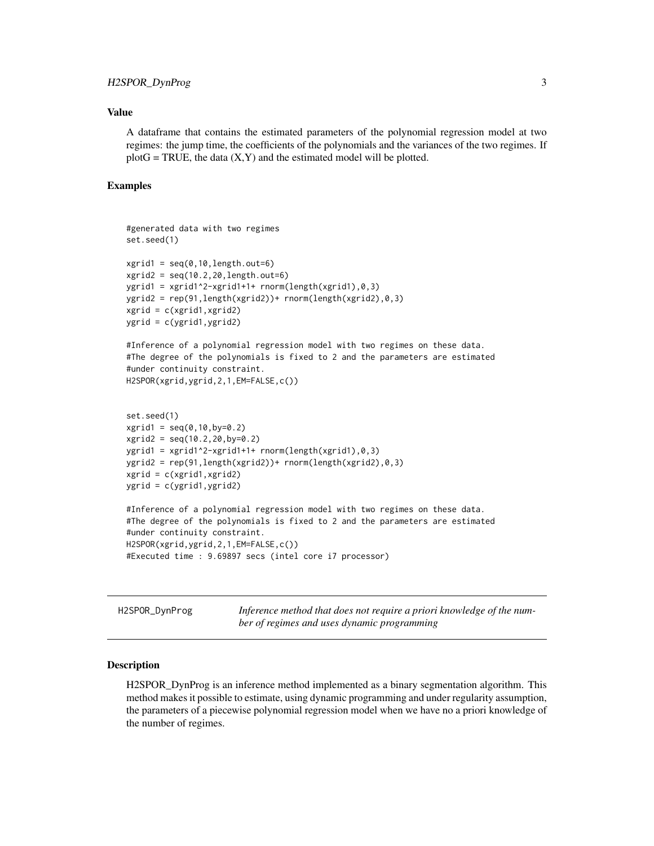#### <span id="page-2-0"></span>Value

A dataframe that contains the estimated parameters of the polynomial regression model at two regimes: the jump time, the coefficients of the polynomials and the variances of the two regimes. If  $plotG = TRUE$ , the data  $(X, Y)$  and the estimated model will be plotted.

#### Examples

```
#generated data with two regimes
set.seed(1)
xgrid1 = seq(0, 10, length.out=6)xgrid2 = seq(10.2, 20, length.out=6)ygrid1 = xgrid1^2-xgrid1+1+ rnorm(length(xgrid1),0,3)
ygrid2 = rep(91,length(xgrid2))+ rnorm(length(xgrid2),0,3)
xgrid = c(xgrid1,xgrid2)
ygrid = c(ygrid1,ygrid2)
#Inference of a polynomial regression model with two regimes on these data.
#The degree of the polynomials is fixed to 2 and the parameters are estimated
#under continuity constraint.
H2SPOR(xgrid,ygrid,2,1,EM=FALSE,c())
set.seed(1)
xgrid1 = seq(0, 10, by=0.2)xgrid2 = seq(10.2, 20, by=0.2)ygrid1 = xgrid1^2-xgrid1+1+ rnorm(length(xgrid1),0,3)ygrid2 = rep(91,length(xgrid2))+ rnorm(length(xgrid2),0,3)
xgrid = c(xgrid1,xgrid2)
ygrid = c(ygrid1,ygrid2)
#Inference of a polynomial regression model with two regimes on these data.
#The degree of the polynomials is fixed to 2 and the parameters are estimated
#under continuity constraint.
H2SPOR(xgrid,ygrid,2,1,EM=FALSE,c())
#Executed time : 9.69897 secs (intel core i7 processor)
```
H2SPOR\_DynProg *Inference method that does not require a priori knowledge of the number of regimes and uses dynamic programming*

#### Description

H2SPOR\_DynProg is an inference method implemented as a binary segmentation algorithm. This method makes it possible to estimate, using dynamic programming and under regularity assumption, the parameters of a piecewise polynomial regression model when we have no a priori knowledge of the number of regimes.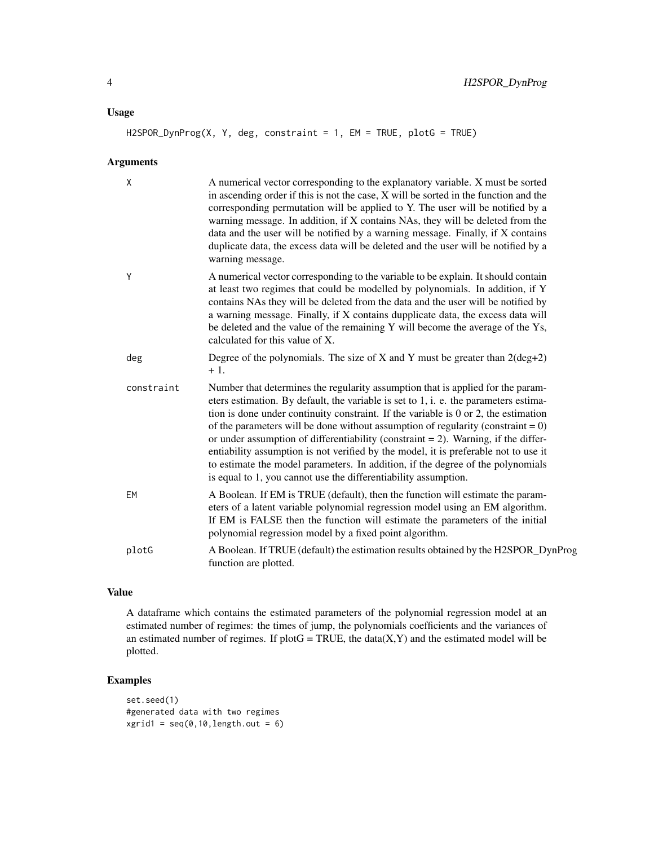#### Usage

#### H2SPOR\_DynProg(X, Y, deg, constraint = 1, EM = TRUE, plotG = TRUE)

#### Arguments

| X          | A numerical vector corresponding to the explanatory variable. X must be sorted<br>in ascending order if this is not the case, X will be sorted in the function and the<br>corresponding permutation will be applied to Y. The user will be notified by a<br>warning message. In addition, if X contains NAs, they will be deleted from the<br>data and the user will be notified by a warning message. Finally, if X contains<br>duplicate data, the excess data will be deleted and the user will be notified by a<br>warning message.                                                                                                                                                          |
|------------|--------------------------------------------------------------------------------------------------------------------------------------------------------------------------------------------------------------------------------------------------------------------------------------------------------------------------------------------------------------------------------------------------------------------------------------------------------------------------------------------------------------------------------------------------------------------------------------------------------------------------------------------------------------------------------------------------|
| Y          | A numerical vector corresponding to the variable to be explain. It should contain<br>at least two regimes that could be modelled by polynomials. In addition, if Y<br>contains NAs they will be deleted from the data and the user will be notified by<br>a warning message. Finally, if X contains dupplicate data, the excess data will<br>be deleted and the value of the remaining Y will become the average of the Ys,<br>calculated for this value of X.                                                                                                                                                                                                                                   |
| deg        | Degree of the polynomials. The size of X and Y must be greater than $2(\text{deg}+2)$<br>$+1.$                                                                                                                                                                                                                                                                                                                                                                                                                                                                                                                                                                                                   |
| constraint | Number that determines the regularity assumption that is applied for the param-<br>eters estimation. By default, the variable is set to 1, i. e. the parameters estima-<br>tion is done under continuity constraint. If the variable is $0$ or $2$ , the estimation<br>of the parameters will be done without assumption of regularity (constraint = $0$ )<br>or under assumption of differentiability (constraint $= 2$ ). Warning, if the differ-<br>entiability assumption is not verified by the model, it is preferable not to use it<br>to estimate the model parameters. In addition, if the degree of the polynomials<br>is equal to 1, you cannot use the differentiability assumption. |
| EM         | A Boolean. If EM is TRUE (default), then the function will estimate the param-<br>eters of a latent variable polynomial regression model using an EM algorithm.<br>If EM is FALSE then the function will estimate the parameters of the initial<br>polynomial regression model by a fixed point algorithm.                                                                                                                                                                                                                                                                                                                                                                                       |
| plotG      | A Boolean. If TRUE (default) the estimation results obtained by the H2SPOR_DynProg<br>function are plotted.                                                                                                                                                                                                                                                                                                                                                                                                                                                                                                                                                                                      |

#### Value

A dataframe which contains the estimated parameters of the polynomial regression model at an estimated number of regimes: the times of jump, the polynomials coefficients and the variances of an estimated number of regimes. If plot $G = TRUE$ , the data $(X, Y)$  and the estimated model will be plotted.

#### Examples

```
set.seed(1)
#generated data with two regimes
xgrid1 = seq(0, 10, length.out = 6)
```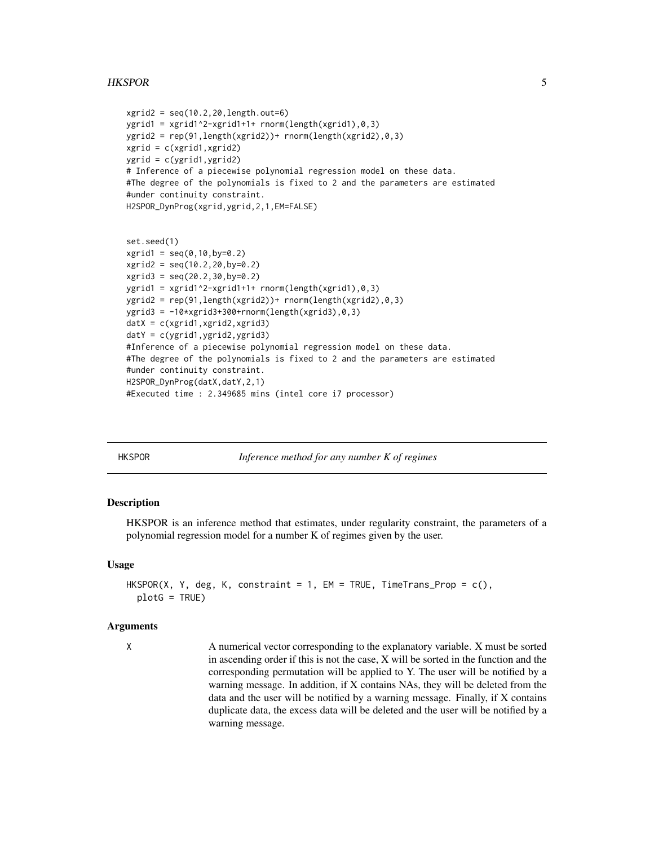#### <span id="page-4-0"></span>HKSPOR 5

```
xgrid2 = seq(10.2, 20, length.out=6)ygrid1 = xgrid1^2-xgrid1+1+ rnorm(length(xgrid1),0,3)ygrid2 = rep(91,length(xgrid2))+ rnorm(length(xgrid2),0,3)
xgrid = c(xgrid1,xgrid2)
ygrid = c(ygrid1,ygrid2)
# Inference of a piecewise polynomial regression model on these data.
#The degree of the polynomials is fixed to 2 and the parameters are estimated
#under continuity constraint.
H2SPOR_DynProg(xgrid,ygrid,2,1,EM=FALSE)
set.seed(1)
```

```
xgrid1 = seq(0, 10, by=0.2)xgrid2 = seq(10.2, 20, by=0.2)xgrid3 = seq(20.2, 30, by=0.2)ygrid1 = xgrid1^2-xgrid1+1+ rnorm(length(xgrid1),0,3)
ygrid2 = rep(91,length(xgrid2))+ rnorm(length(xgrid2),0,3)
ygrid3 = -10*xgrid3+300+rnorm(length(xgrid3),0,3)
datX = c(xgrid1,xgrid2,xgrid3)
datY = c(ygrid1,ygrid2,ygrid3)
#Inference of a piecewise polynomial regression model on these data.
#The degree of the polynomials is fixed to 2 and the parameters are estimated
#under continuity constraint.
H2SPOR_DynProg(datX,datY,2,1)
#Executed time : 2.349685 mins (intel core i7 processor)
```
HKSPOR *Inference method for any number K of regimes*

#### Description

HKSPOR is an inference method that estimates, under regularity constraint, the parameters of a polynomial regression model for a number K of regimes given by the user.

#### Usage

```
HKSPOR(X, Y, deg, K, constraint = 1, EM = TRUE, TimeTrans-Prop = c(),plotG = TRUE)
```
#### Arguments

X A numerical vector corresponding to the explanatory variable. X must be sorted in ascending order if this is not the case, X will be sorted in the function and the corresponding permutation will be applied to Y. The user will be notified by a warning message. In addition, if X contains NAs, they will be deleted from the data and the user will be notified by a warning message. Finally, if X contains duplicate data, the excess data will be deleted and the user will be notified by a warning message.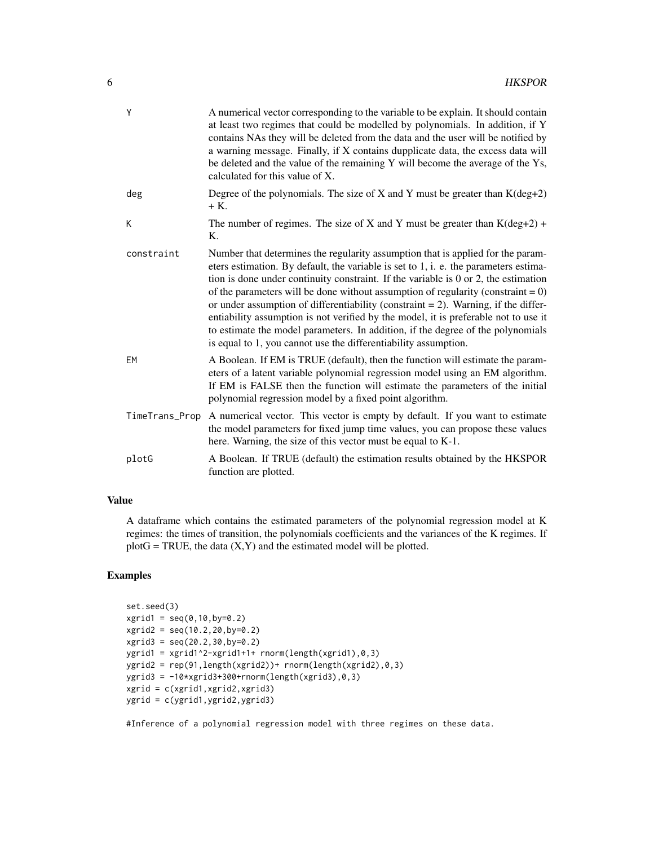| Y          | A numerical vector corresponding to the variable to be explain. It should contain<br>at least two regimes that could be modelled by polynomials. In addition, if Y<br>contains NAs they will be deleted from the data and the user will be notified by<br>a warning message. Finally, if X contains dupplicate data, the excess data will<br>be deleted and the value of the remaining Y will become the average of the Ys,<br>calculated for this value of X.                                                                                                                                                                                                                                   |
|------------|--------------------------------------------------------------------------------------------------------------------------------------------------------------------------------------------------------------------------------------------------------------------------------------------------------------------------------------------------------------------------------------------------------------------------------------------------------------------------------------------------------------------------------------------------------------------------------------------------------------------------------------------------------------------------------------------------|
| deg        | Degree of the polynomials. The size of X and Y must be greater than $K(deg + 2)$<br>$+$ K.                                                                                                                                                                                                                                                                                                                                                                                                                                                                                                                                                                                                       |
| K          | The number of regimes. The size of X and Y must be greater than $K(deg + 2)$ +<br>Κ.                                                                                                                                                                                                                                                                                                                                                                                                                                                                                                                                                                                                             |
| constraint | Number that determines the regularity assumption that is applied for the param-<br>eters estimation. By default, the variable is set to 1, i. e. the parameters estima-<br>tion is done under continuity constraint. If the variable is $0$ or $2$ , the estimation<br>of the parameters will be done without assumption of regularity (constraint = $0$ )<br>or under assumption of differentiability (constraint $= 2$ ). Warning, if the differ-<br>entiability assumption is not verified by the model, it is preferable not to use it<br>to estimate the model parameters. In addition, if the degree of the polynomials<br>is equal to 1, you cannot use the differentiability assumption. |
| EM         | A Boolean. If EM is TRUE (default), then the function will estimate the param-<br>eters of a latent variable polynomial regression model using an EM algorithm.<br>If EM is FALSE then the function will estimate the parameters of the initial<br>polynomial regression model by a fixed point algorithm.                                                                                                                                                                                                                                                                                                                                                                                       |
|            | TimeTrans_Prop A numerical vector. This vector is empty by default. If you want to estimate<br>the model parameters for fixed jump time values, you can propose these values<br>here. Warning, the size of this vector must be equal to K-1.                                                                                                                                                                                                                                                                                                                                                                                                                                                     |
| plotG      | A Boolean. If TRUE (default) the estimation results obtained by the HKSPOR<br>function are plotted.                                                                                                                                                                                                                                                                                                                                                                                                                                                                                                                                                                                              |

### Value

A dataframe which contains the estimated parameters of the polynomial regression model at K regimes: the times of transition, the polynomials coefficients and the variances of the K regimes. If  $plotG = TRUE$ , the data  $(X, Y)$  and the estimated model will be plotted.

#### Examples

```
set.seed(3)
xgrid1 = seq(0, 10, by=0.2)xgrid2 = seq(10.2,20,by=0.2)
xgrid3 = seq(20.2, 30, by=0.2)ygrid1 = xgrid1^2-xgrid1+1+ rnorm(length(xgrid1),0,3)ygrid2 = rep(91,length(xgrid2))+ rnorm(length(xgrid2),0,3)
ygrid3 = -10*xgrid3+300+rnorm(length(xgrid3),0,3)
xgrid = c(xgrid1,xgrid2,xgrid3)
ygrid = c(ygrid1,ygrid2,ygrid3)
```
#Inference of a polynomial regression model with three regimes on these data.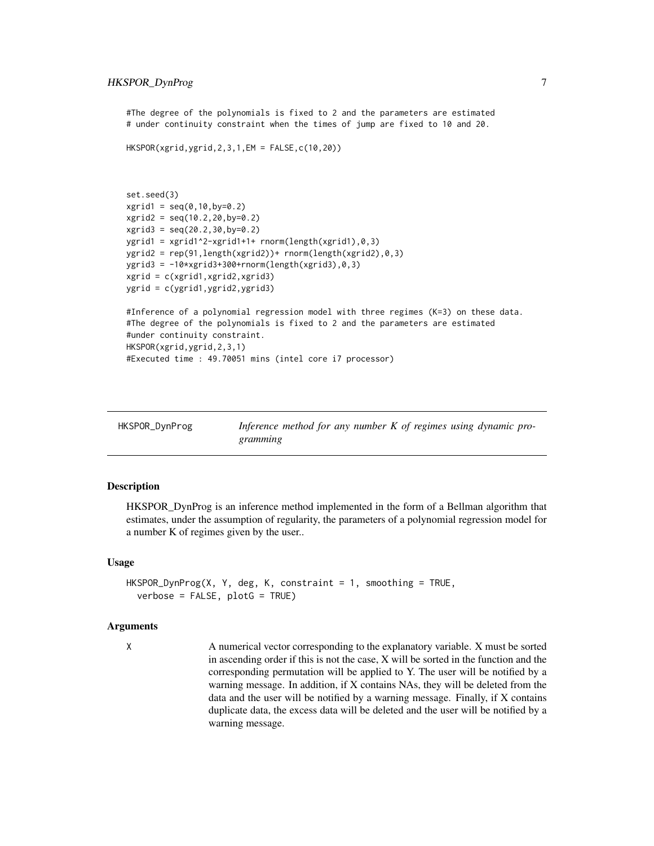#### <span id="page-6-0"></span>HKSPOR\_DynProg 7

#The degree of the polynomials is fixed to 2 and the parameters are estimated # under continuity constraint when the times of jump are fixed to 10 and 20.

```
HKSPOR(xgrid,ygrid,2,3,1,EM = FALSE,c(10,20))
```

```
set.seed(3)
xgrid1 = seq(0, 10, by=0.2)xgrid2 = seq(10.2, 20, by=0.2)xgrid3 = seq(20.2,30,by=0.2)
ygrid1 = xgrid1^2-xgrid1+1+ rnorm(length(xgrid1),0,3)ygrid2 = rep(91,length(xgrid2))+ rnorm(length(xgrid2),0,3)
ygrid3 = -10*xgrid3+300+rnorm(length(xgrid3), 0, 3)xgrid = c(xgrid1,xgrid2,xgrid3)
ygrid = c(ygrid1,ygrid2,ygrid3)
```

```
#Inference of a polynomial regression model with three regimes (K=3) on these data.
#The degree of the polynomials is fixed to 2 and the parameters are estimated
#under continuity constraint.
HKSPOR(xgrid,ygrid,2,3,1)
#Executed time : 49.70051 mins (intel core i7 processor)
```

| HKSPOR_DynProg | Inference method for any number $K$ of regimes using dynamic pro- |
|----------------|-------------------------------------------------------------------|
|                | gramming                                                          |

#### Description

HKSPOR\_DynProg is an inference method implemented in the form of a Bellman algorithm that estimates, under the assumption of regularity, the parameters of a polynomial regression model for a number K of regimes given by the user..

#### Usage

```
HKSPOR_DynProg(X, Y, deg, K, constraint = 1, smoothing = TRUE,
  verbose = FALSE, plotG = TRUE)
```
#### Arguments

X A numerical vector corresponding to the explanatory variable. X must be sorted in ascending order if this is not the case, X will be sorted in the function and the corresponding permutation will be applied to Y. The user will be notified by a warning message. In addition, if X contains NAs, they will be deleted from the data and the user will be notified by a warning message. Finally, if X contains duplicate data, the excess data will be deleted and the user will be notified by a warning message.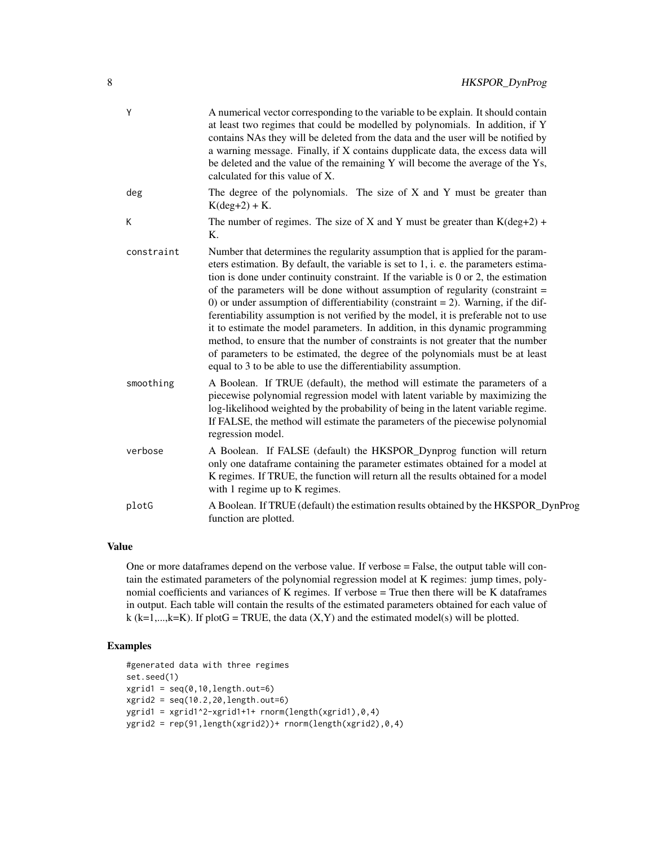| Y          | A numerical vector corresponding to the variable to be explain. It should contain<br>at least two regimes that could be modelled by polynomials. In addition, if Y<br>contains NAs they will be deleted from the data and the user will be notified by<br>a warning message. Finally, if X contains dupplicate data, the excess data will<br>be deleted and the value of the remaining Y will become the average of the Ys,<br>calculated for this value of X.                                                                                                                                                                                                                                                                                                                                                                                                |
|------------|---------------------------------------------------------------------------------------------------------------------------------------------------------------------------------------------------------------------------------------------------------------------------------------------------------------------------------------------------------------------------------------------------------------------------------------------------------------------------------------------------------------------------------------------------------------------------------------------------------------------------------------------------------------------------------------------------------------------------------------------------------------------------------------------------------------------------------------------------------------|
| deg        | The degree of the polynomials. The size of $X$ and $Y$ must be greater than<br>$K(deg + 2) + K.$                                                                                                                                                                                                                                                                                                                                                                                                                                                                                                                                                                                                                                                                                                                                                              |
| K          | The number of regimes. The size of X and Y must be greater than $K(deg + 2)$ +<br>$K_{\cdot}$                                                                                                                                                                                                                                                                                                                                                                                                                                                                                                                                                                                                                                                                                                                                                                 |
| constraint | Number that determines the regularity assumption that is applied for the param-<br>eters estimation. By default, the variable is set to 1, i. e. the parameters estima-<br>tion is done under continuity constraint. If the variable is $0$ or $2$ , the estimation<br>of the parameters will be done without assumption of regularity (constraint $=$<br>0) or under assumption of differentiability (constraint $= 2$ ). Warning, if the dif-<br>ferentiability assumption is not verified by the model, it is preferable not to use<br>it to estimate the model parameters. In addition, in this dynamic programming<br>method, to ensure that the number of constraints is not greater that the number<br>of parameters to be estimated, the degree of the polynomials must be at least<br>equal to 3 to be able to use the differentiability assumption. |
| smoothing  | A Boolean. If TRUE (default), the method will estimate the parameters of a<br>piecewise polynomial regression model with latent variable by maximizing the<br>log-likelihood weighted by the probability of being in the latent variable regime.<br>If FALSE, the method will estimate the parameters of the piecewise polynomial<br>regression model.                                                                                                                                                                                                                                                                                                                                                                                                                                                                                                        |
| verbose    | A Boolean. If FALSE (default) the HKSPOR_Dynprog function will return<br>only one dataframe containing the parameter estimates obtained for a model at<br>K regimes. If TRUE, the function will return all the results obtained for a model<br>with 1 regime up to K regimes.                                                                                                                                                                                                                                                                                                                                                                                                                                                                                                                                                                                 |
| plotG      | A Boolean. If TRUE (default) the estimation results obtained by the HKSPOR_DynProg<br>function are plotted.                                                                                                                                                                                                                                                                                                                                                                                                                                                                                                                                                                                                                                                                                                                                                   |

#### Value

One or more dataframes depend on the verbose value. If verbose = False, the output table will contain the estimated parameters of the polynomial regression model at K regimes: jump times, polynomial coefficients and variances of K regimes. If verbose = True then there will be K dataframes in output. Each table will contain the results of the estimated parameters obtained for each value of k (k=1,...,k=K). If plotG = TRUE, the data  $(X, Y)$  and the estimated model(s) will be plotted.

#### Examples

```
#generated data with three regimes
set.seed(1)
xgrid1 = seq(0, 10, length.out=6)xgrid2 = seq(10.2, 20, length.out=6)ygrid1 = xgrid1^2-xgrid1+1+ rnorm(length(xgrid1),0,4)
ygrid2 = rep(91,length(xgrid2))+ rnorm(length(xgrid2),0,4)
```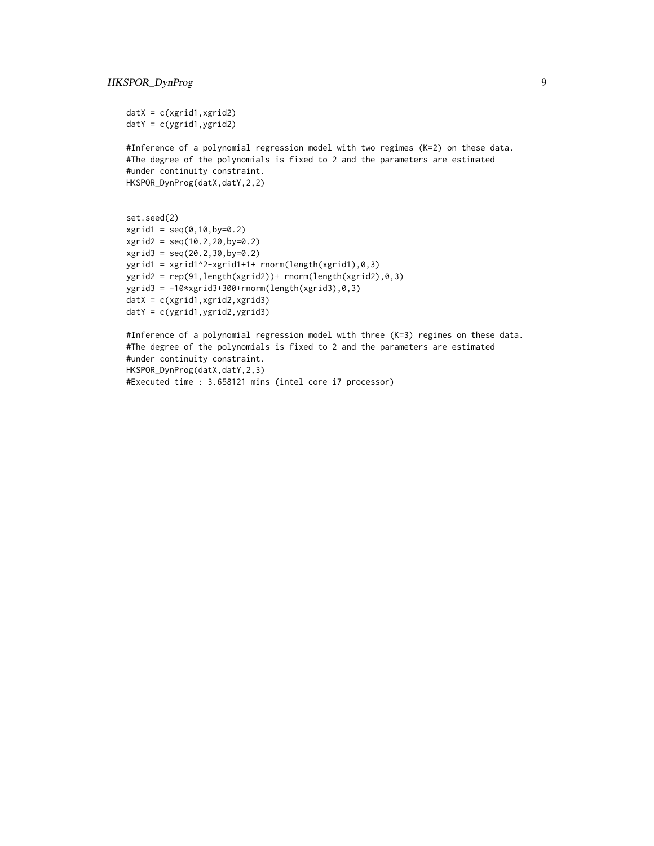```
datX = c(xgrid1, xgrid2)datY = c(ygrid1, ygrid2)
```
#Inference of a polynomial regression model with two regimes (K=2) on these data. #The degree of the polynomials is fixed to 2 and the parameters are estimated #under continuity constraint. HKSPOR\_DynProg(datX,datY,2,2)

```
set.seed(2)
xgrid1 = seq(0, 10, by=0.2)xgrid2 = seq(10.2,20,by=0.2)
xgrid3 = seq(20.2, 30, by=0.2)ygrid1 = xgrid1^2-xgrid1+1+ rnorm(length(xgrid1),0,3)ygrid2 = rep(91,length(xgrid2))+ rnorm(length(xgrid2),0,3)
ygrid3 = -10*xgrid3+300+rnorm(length(xgrid3),0,3)
datX = c(xgrid1,xgrid2,xgrid3)
datY = c(ygrid1,ygrid2,ygrid3)
```
#Inference of a polynomial regression model with three (K=3) regimes on these data. #The degree of the polynomials is fixed to 2 and the parameters are estimated #under continuity constraint. HKSPOR\_DynProg(datX,datY,2,3) #Executed time : 3.658121 mins (intel core i7 processor)